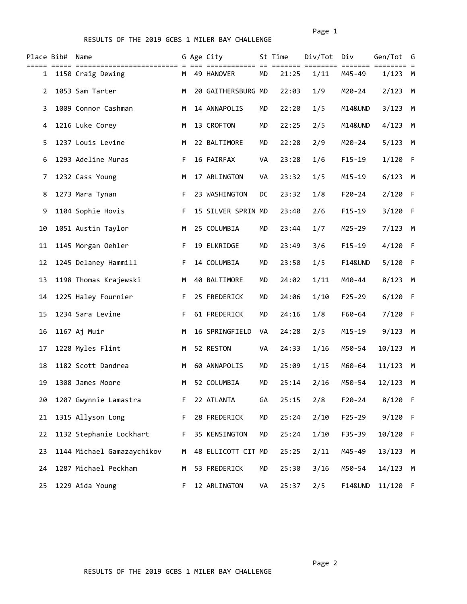Page 1 and 2012 12:00 the contract of the contract of the contract of the contract of the contract of the contract of the contract of the contract of the contract of the contract of the contract of the contract of the cont

## RESULTS OF THE 2019 GCBS 1 MILER BAY CHALLENGE

| Place Bib#   | Name                       |    | G Age City         |           | St Time | Div/Tot | Div                | Gen/Tot   | G    |
|--------------|----------------------------|----|--------------------|-----------|---------|---------|--------------------|-----------|------|
| $\mathbf{1}$ | 1150 Craig Dewing          |    | M 49 HANOVER       | <b>MD</b> | 21:25   | 1/11    | M45-49             | 1/123     | M    |
| 2            | 1053 Sam Tarter            | M  | 20 GAITHERSBURG MD |           | 22:03   | 1/9     | M20-24             | 2/123     | M    |
| 3            | 1009 Connor Cashman        | M  | 14 ANNAPOLIS       | MD        | 22:20   | 1/5     | M14&UND            | 3/123     | M    |
| 4            | 1216 Luke Corey            | М  | 13 CROFTON         | MD        | 22:25   | 2/5     | M14&UND            | 4/123     | M    |
| 5            | 1237 Louis Levine          | M  | 22 BALTIMORE       | MD        | 22:28   | 2/9     | M20-24             | 5/123     | M    |
| 6            | 1293 Adeline Muras         | F  | 16 FAIRFAX         | VA        | 23:28   | 1/6     | $F15 - 19$         | $1/120$ F |      |
| 7            | 1232 Cass Young            | M  | 17 ARLINGTON       | VA        | 23:32   | 1/5     | $M15 - 19$         | 6/123     | M    |
| 8            | 1273 Mara Tynan            | F. | 23 WASHINGTON      | DC        | 23:32   | 1/8     | $F20 - 24$         | 2/120     | - F  |
| 9            | 1104 Sophie Hovis          | F. | 15 SILVER SPRIN MD |           | 23:40   | 2/6     | $F15 - 19$         | 3/120     | - F  |
| 10           | 1051 Austin Taylor         | M  | 25 COLUMBIA        | MD        | 23:44   | 1/7     | M25-29             | 7/123     | M    |
| 11           | 1145 Morgan Oehler         | F. | 19 ELKRIDGE        | MD        | 23:49   | 3/6     | $F15 - 19$         | 4/120     | $-F$ |
| 12           | 1245 Delaney Hammill       | F. | 14 COLUMBIA        | MD        | 23:50   | 1/5     | <b>F14&amp;UND</b> | 5/120     | - F  |
| 13           | 1198 Thomas Krajewski      | М  | 40 BALTIMORE       | MD        | 24:02   | 1/11    | M40-44             | 8/123     | M    |
| 14           | 1225 Haley Fournier        | F. | 25 FREDERICK       | MD        | 24:06   | 1/10    | $F25 - 29$         | 6/120     | - F  |
| 15           | 1234 Sara Levine           | F. | 61 FREDERICK       | MD        | 24:16   | 1/8     | F60-64             | 7/120     | - F  |
| 16           | 1167 Aj Muir               | M  | 16 SPRINGFIELD     | VA        | 24:28   | 2/5     | M15-19             | 9/123     | M    |
| 17           | 1228 Myles Flint           | M  | 52 RESTON          | VA        | 24:33   | 1/16    | M50-54             | 10/123    | M    |
| 18           | 1182 Scott Dandrea         | M  | 60 ANNAPOLIS       | MD        | 25:09   | 1/15    | M60-64             | 11/123    | M    |
| 19           | 1308 James Moore           | M  | 52 COLUMBIA        | MD        | 25:14   | 2/16    | M50-54             | 12/123    | M    |
| 20           | 1207 Gwynnie Lamastra      | F. | 22 ATLANTA         | GA        | 25:15   | 2/8     | $F20 - 24$         | 8/120 F   |      |
| 21           | 1315 Allyson Long          | F. | 28 FREDERICK       | MD        | 25:24   | 2/10    | $F25 - 29$         | 9/120 F   |      |
| 22           | 1132 Stephanie Lockhart    | F. | 35 KENSINGTON      | MD        | 25:24   | 1/10    | F35-39             | 10/120 F  |      |
| 23           | 1144 Michael Gamazaychikov | M  | 48 ELLICOTT CIT MD |           | 25:25   | 2/11    | M45-49             | 13/123 M  |      |
| 24           | 1287 Michael Peckham       | М  | 53 FREDERICK       | MD        | 25:30   | 3/16    | M50-54             | 14/123 M  |      |
| 25           | 1229 Aida Young            | F. | 12 ARLINGTON       | VA        | 25:37   | 2/5     | <b>F14&amp;UND</b> | 11/120 F  |      |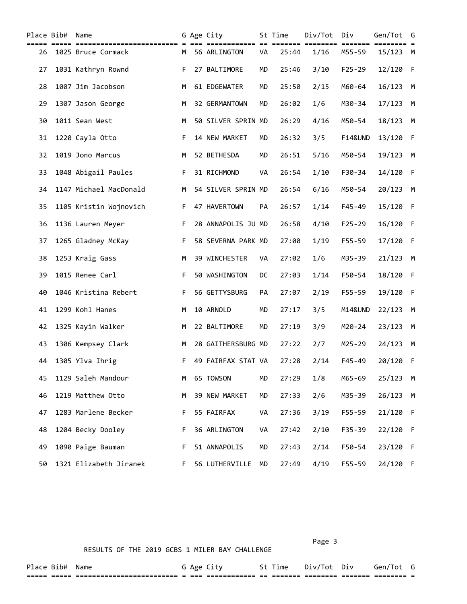|    | Place Bib# | Name                   |    | G Age City         |           | St Time | Div/Tot | Div                | Gen/Tot  | G   |
|----|------------|------------------------|----|--------------------|-----------|---------|---------|--------------------|----------|-----|
| 26 |            | 1025 Bruce Cormack     |    | M 56 ARLINGTON     | VA        | 25:44   | 1/16    | M55-59             | 15/123 M |     |
| 27 |            | 1031 Kathryn Rownd     | F. | 27 BALTIMORE       | MD        | 25:46   | 3/10    | $F25 - 29$         | 12/120   | - F |
| 28 |            | 1007 Jim Jacobson      | M  | 61 EDGEWATER       | <b>MD</b> | 25:50   | 2/15    | M60-64             | 16/123   | M   |
| 29 |            | 1307 Jason George      | М  | 32 GERMANTOWN      | MD        | 26:02   | 1/6     | M30-34             | 17/123   | M   |
| 30 |            | 1011 Sean West         | M  | 50 SILVER SPRIN MD |           | 26:29   | 4/16    | M50-54             | 18/123   | M   |
| 31 |            | 1220 Cayla Otto        | F. | 14 NEW MARKET      | MD        | 26:32   | 3/5     | <b>F14&amp;UND</b> | 13/120   | -F  |
| 32 |            | 1019 Jono Marcus       | M  | 52 BETHESDA        | MD        | 26:51   | 5/16    | M50-54             | 19/123   | M   |
| 33 |            | 1048 Abigail Paules    | F. | 31 RICHMOND        | VA        | 26:54   | 1/10    | F30-34             | 14/120   | - F |
| 34 |            | 1147 Michael MacDonald | M  | 54 SILVER SPRIN MD |           | 26:54   | 6/16    | M50-54             | 20/123   | M   |
| 35 |            | 1105 Kristin Wojnovich | F. | 47 HAVERTOWN       | PA        | 26:57   | 1/14    | $F45 - 49$         | 15/120   | -F  |
| 36 |            | 1136 Lauren Meyer      | F. | 28 ANNAPOLIS JU MD |           | 26:58   | 4/10    | $F25 - 29$         | 16/120   | - F |
| 37 |            | 1265 Gladney McKay     | F. | 58 SEVERNA PARK MD |           | 27:00   | 1/19    | F55-59             | 17/120   | - F |
| 38 |            | 1253 Kraig Gass        | М  | 39 WINCHESTER      | VA        | 27:02   | 1/6     | M35-39             | 21/123   | M   |
| 39 |            | 1015 Renee Carl        | F. | 50 WASHINGTON      | DC        | 27:03   | 1/14    | F50-54             | 18/120   | - F |
| 40 |            | 1046 Kristina Rebert   | F. | 56 GETTYSBURG      | PA        | 27:07   | 2/19    | $F55 - 59$         | 19/120   | - F |
| 41 |            | 1299 Kohl Hanes        | M  | 10 ARNOLD          | MD        | 27:17   | 3/5     | M14&UND            | 22/123   | M   |
| 42 |            | 1325 Kayin Walker      | М  | 22 BALTIMORE       | MD        | 27:19   | 3/9     | $M20 - 24$         | 23/123   | M   |
| 43 |            | 1306 Kempsey Clark     | M  | 28 GAITHERSBURG MD |           | 27:22   | 2/7     | M25-29             | 24/123   | M   |
| 44 |            | 1305 Ylva Ihrig        | F. | 49 FAIRFAX STAT VA |           | 27:28   | 2/14    | $F45 - 49$         | 20/120   | - F |
| 45 |            | 1129 Saleh Mandour     | м  | 65 TOWSON          | MD        | 27:29   | 1/8     | M65-69             | 25/123 M |     |
| 46 |            | 1219 Matthew Otto      | M  | 39 NEW MARKET      | MD        | 27:33   | 2/6     | M35-39             | 26/123   | M   |
| 47 |            | 1283 Marlene Becker    | F. | 55 FAIRFAX         | VA        | 27:36   | 3/19    | F55-59             | 21/120 F |     |
| 48 |            | 1204 Becky Dooley      | F. | 36 ARLINGTON       | VA        | 27:42   | 2/10    | F35-39             | 22/120 F |     |
| 49 |            | 1090 Paige Bauman      | F. | 51 ANNAPOLIS       | MD        | 27:43   | 2/14    | F50-54             | 23/120 F |     |
| 50 |            | 1321 Elizabeth Jiranek | F. | 56 LUTHERVILLE MD  |           | 27:49   | 4/19    | F55-59             | 24/120 F |     |

Page 3 and 2012 and 2012 and 2012 and 2012 and 2012 and 2012 and 2012 and 2012 and 2012 and 2012 and 2012 and

| Place          | B1D#             | Name                                                    | Age          |                               |                                  | ime | נט.<br>I OT          | Div                  | Gen / |  |
|----------------|------------------|---------------------------------------------------------|--------------|-------------------------------|----------------------------------|-----|----------------------|----------------------|-------|--|
| _____<br>_____ | ______<br>______ | --------------------------<br>------------------------- | ____<br>____ | ____________<br>_____________ | $\overline{\phantom{a}}$<br>$ -$ |     | ________<br>________ | ________<br>________ |       |  |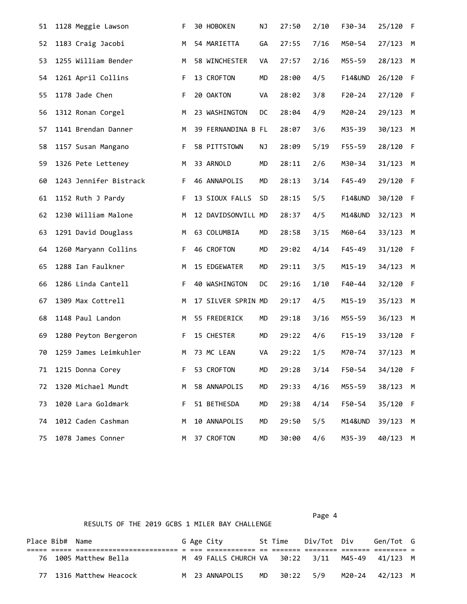| 51 | 1128 Meggie Lawson     | F. | 30 HOBOKEN         | NJ        | 27:50 | 2/10 | F30-34             | 25/120   | - F |
|----|------------------------|----|--------------------|-----------|-------|------|--------------------|----------|-----|
| 52 | 1183 Craig Jacobi      | М  | 54 MARIETTA        | GA        | 27:55 | 7/16 | M50-54             | 27/123   | M   |
| 53 | 1255 William Bender    | М  | 58 WINCHESTER      | VA        | 27:57 | 2/16 | M55-59             | 28/123   | M   |
| 54 | 1261 April Collins     | F. | 13 CROFTON         | <b>MD</b> | 28:00 | 4/5  | <b>F14&amp;UND</b> | 26/120   | F   |
| 55 | 1178 Jade Chen         | F. | 20 OAKTON          | VA        | 28:02 | 3/8  | $F20 - 24$         | 27/120   | -F  |
| 56 | 1312 Ronan Corgel      | М  | 23 WASHINGTON      | DC        | 28:04 | 4/9  | M20-24             | 29/123   | M   |
| 57 | 1141 Brendan Danner    | М  | 39 FERNANDINA B FL |           | 28:07 | 3/6  | M35-39             | 30/123   | M   |
| 58 | 1157 Susan Mangano     | F  | 58 PITTSTOWN       | ΝJ        | 28:09 | 5/19 | F55-59             | 28/120   | F   |
| 59 | 1326 Pete Letteney     | М  | 33 ARNOLD          | <b>MD</b> | 28:11 | 2/6  | M30-34             | 31/123   | M   |
| 60 | 1243 Jennifer Bistrack | F. | 46 ANNAPOLIS       | MD        | 28:13 | 3/14 | F45-49             | 29/120   | -F  |
| 61 | 1152 Ruth J Pardy      | F. | 13 SIOUX FALLS     | <b>SD</b> | 28:15 | 5/5  | <b>F14&amp;UND</b> | 30/120   | F   |
| 62 | 1230 William Malone    | м  | 12 DAVIDSONVILL MD |           | 28:37 | 4/5  | M14&UND            | 32/123   | M   |
| 63 | 1291 David Douglass    | М  | 63 COLUMBIA        | <b>MD</b> | 28:58 | 3/15 | M60-64             | 33/123   | M   |
| 64 | 1260 Maryann Collins   | F. | 46 CROFTON         | <b>MD</b> | 29:02 | 4/14 | F45-49             | 31/120   | F   |
| 65 | 1288 Ian Faulkner      | М  | 15 EDGEWATER       | <b>MD</b> | 29:11 | 3/5  | $M15 - 19$         | 34/123   | M   |
| 66 | 1286 Linda Cantell     | F. | 40 WASHINGTON      | DC        | 29:16 | 1/10 | F40-44             | 32/120   | F   |
| 67 | 1309 Max Cottrell      | М  | 17 SILVER SPRIN MD |           | 29:17 | 4/5  | $M15 - 19$         | 35/123   | M   |
| 68 | 1148 Paul Landon       | М  | 55 FREDERICK       | MD        | 29:18 | 3/16 | M55-59             | 36/123   | M   |
| 69 | 1280 Peyton Bergeron   | F. | 15 CHESTER         | <b>MD</b> | 29:22 | 4/6  | $F15 - 19$         | 33/120   | - F |
| 70 | 1259 James Leimkuhler  | M  | 73 MC LEAN         | VA        | 29:22 | 1/5  | M70-74             | 37/123   | M   |
| 71 | 1215 Donna Corey       | F. | 53 CROFTON         | MD        | 29:28 | 3/14 | F50-54             | 34/120 F |     |
| 72 | 1320 Michael Mundt     | М  | 58 ANNAPOLIS       | MD        | 29:33 | 4/16 | M55-59             | 38/123   | M   |
| 73 | 1020 Lara Goldmark     | F. | 51 BETHESDA        | MD        | 29:38 | 4/14 | F50-54             | 35/120   | - F |
| 74 | 1012 Caden Cashman     | M  | 10 ANNAPOLIS       | MD        | 29:50 | 5/5  | M14&UND            | 39/123   | М   |
| 75 | 1078 James Conner      | м  | 37 CROFTON         | MD        | 30:00 | 4/6  | M35-39             | 40/123   | M   |

|                 | RESULTS OF THE 2019 GCBS 1 MILER BAY CHALLENGE |                         |  |  |                                                 |  |         |             |  |           |  |  |  |
|-----------------|------------------------------------------------|-------------------------|--|--|-------------------------------------------------|--|---------|-------------|--|-----------|--|--|--|
| Place Bib# Name |                                                |                         |  |  | G Age City                                      |  | St Time | Div/Tot Div |  | Gen/Tot G |  |  |  |
|                 |                                                |                         |  |  |                                                 |  |         |             |  |           |  |  |  |
|                 |                                                | 76 1005 Matthew Bella   |  |  | M 49 FALLS CHURCH VA 30:22 3/11 M45-49 41/123 M |  |         |             |  |           |  |  |  |
|                 |                                                | 77 1316 Matthew Heacock |  |  | M 23 ANNAPOLIS MD 30:22 5/9 M20-24 42/123 M     |  |         |             |  |           |  |  |  |

## Page 4 and the state of the state of the state of the state of the state of the state of the state of the state of the state of the state of the state of the state of the state of the state of the state of the state of the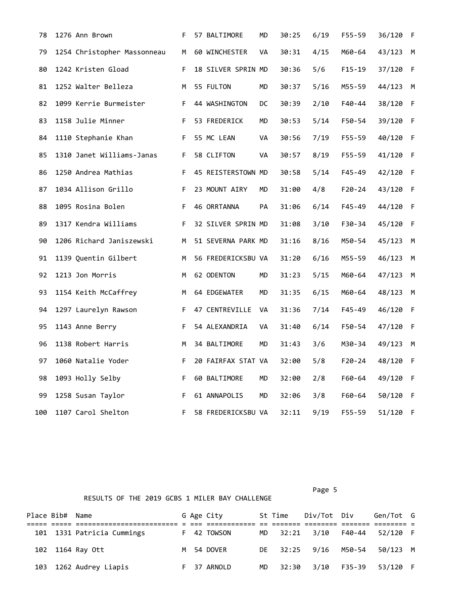| 78  | 1276 Ann Brown              | F. | 57 BALTIMORE       | MD | 30:25 | 6/19 | F55-59     | 36/120   | - F          |
|-----|-----------------------------|----|--------------------|----|-------|------|------------|----------|--------------|
| 79  | 1254 Christopher Massonneau | M  | 60 WINCHESTER      | VA | 30:31 | 4/15 | M60-64     | 43/123   | M            |
| 80  | 1242 Kristen Gload          | F. | 18 SILVER SPRIN MD |    | 30:36 | 5/6  | $F15 - 19$ | 37/120   | $\mathsf{F}$ |
| 81  | 1252 Walter Belleza         | M  | 55 FULTON          | MD | 30:37 | 5/16 | M55-59     | 44/123   | M            |
| 82  | 1099 Kerrie Burmeister      | F. | 44 WASHINGTON      | DC | 30:39 | 2/10 | F40-44     | 38/120   | -F           |
| 83  | 1158 Julie Minner           | F. | 53 FREDERICK       | MD | 30:53 | 5/14 | F50-54     | 39/120 F |              |
| 84  | 1110 Stephanie Khan         | F. | 55 MC LEAN         | VA | 30:56 | 7/19 | F55-59     | 40/120   | $\mathsf{F}$ |
| 85  | 1310 Janet Williams-Janas   | F. | 58 CLIFTON         | VA | 30:57 | 8/19 | F55-59     | 41/120   | - F          |
| 86  | 1250 Andrea Mathias         | F. | 45 REISTERSTOWN MD |    | 30:58 | 5/14 | F45-49     | 42/120 F |              |
| 87  | 1034 Allison Grillo         | F. | 23 MOUNT AIRY      | MD | 31:00 | 4/8  | $F20 - 24$ | 43/120   | - F          |
| 88  | 1095 Rosina Bolen           | F. | 46 ORRTANNA        | PА | 31:06 | 6/14 | $F45 - 49$ | 44/120   | -F           |
| 89  | 1317 Kendra Williams        | F. | 32 SILVER SPRIN MD |    | 31:08 | 3/10 | F30-34     | 45/120   | - F          |
| 90  | 1206 Richard Janiszewski    | м  | 51 SEVERNA PARK MD |    | 31:16 | 8/16 | M50-54     | 45/123   | м            |
| 91  | 1139 Quentin Gilbert        | M  | 56 FREDERICKSBU VA |    | 31:20 | 6/16 | M55-59     | 46/123   | M            |
| 92  | 1213 Jon Morris             | M  | 62 ODENTON         | MD | 31:23 | 5/15 | M60-64     | 47/123   | M            |
| 93  | 1154 Keith McCaffrey        | М  | 64 EDGEWATER       | MD | 31:35 | 6/15 | M60-64     | 48/123   | M            |
| 94  | 1297 Laurelyn Rawson        | F. | 47 CENTREVILLE     | VA | 31:36 | 7/14 | F45-49     | 46/120   | - F          |
| 95  | 1143 Anne Berry             | F. | 54 ALEXANDRIA      | VA | 31:40 | 6/14 | F50-54     | 47/120   | - F          |
| 96  | 1138 Robert Harris          | M  | 34 BALTIMORE       | MD | 31:43 | 3/6  | M30-34     | 49/123   | M            |
| 97  | 1060 Natalie Yoder          | F. | 20 FAIRFAX STAT VA |    | 32:00 | 5/8  | $F20 - 24$ | 48/120   | - F          |
| 98  | 1093 Holly Selby            | F. | 60 BALTIMORE       | МD | 32:00 | 2/8  | F60-64     | 49/120   | - F          |
| 99  | 1258 Susan Taylor           | F. | 61 ANNAPOLIS       | MD | 32:06 | 3/8  | F60-64     | 50/120   | - F          |
| 100 | 1107 Carol Shelton          | F. | 58 FREDERICKSBU VA |    | 32:11 | 9/19 | F55-59     | 51/120   | - F          |

Page 5 and 2012 and 2012 and 2012 and 2012 and 2012 and 2012 and 2012 and 2012 and 2012 and 2012 and 2012 and

| Place Bib# Name |                            |  | G Age City  |     | St Time | Div/Tot Div          | Gen/Tot G |  |
|-----------------|----------------------------|--|-------------|-----|---------|----------------------|-----------|--|
|                 | 101 1331 Patricia Cummings |  | F 42 TOWSON |     |         | MD 32:21 3/10 F40-44 | 52/120 F  |  |
|                 | 102 1164 Ray Ott           |  | M 54 DOVER  |     |         | DE 32:25 9/16 M50-54 | 50/123 M  |  |
|                 | 103 1262 Audrey Liapis     |  | F 37 ARNOLD | MD. | 32:30   | 3/10 F35-39          | 53/120 F  |  |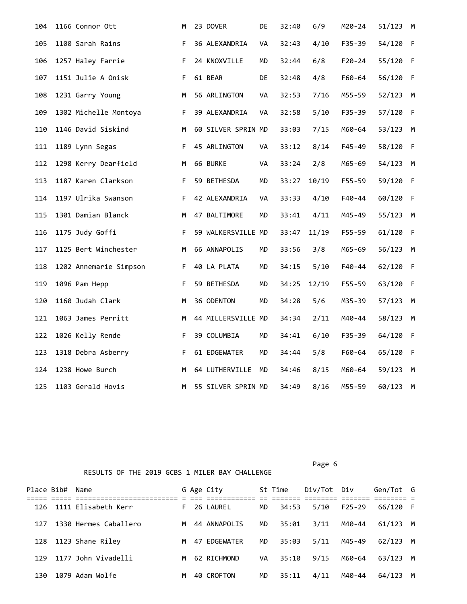| 104 | 1166 Connor Ott        | М  | 23 DOVER           | DE        | 32:40 | 6/9   | M20-24     | 51/123   | M            |
|-----|------------------------|----|--------------------|-----------|-------|-------|------------|----------|--------------|
| 105 | 1100 Sarah Rains       | F. | 36 ALEXANDRIA      | VA        | 32:43 | 4/10  | F35-39     | 54/120   | $\mathsf{F}$ |
| 106 | 1257 Haley Farrie      | F. | 24 KNOXVILLE       | MD        | 32:44 | 6/8   | $F20 - 24$ | 55/120   | -F           |
| 107 | 1151 Julie A Onisk     | F. | 61 BEAR            | DE.       | 32:48 | 4/8   | F60-64     | 56/120   | - F          |
| 108 | 1231 Garry Young       | M  | 56 ARLINGTON       | VA        | 32:53 | 7/16  | M55-59     | 52/123   | M            |
| 109 | 1302 Michelle Montoya  | F. | 39 ALEXANDRIA      | VA        | 32:58 | 5/10  | $F35 - 39$ | 57/120   | $\mathsf{F}$ |
| 110 | 1146 David Siskind     | M  | 60 SILVER SPRIN MD |           | 33:03 | 7/15  | M60-64     | 53/123   | M            |
| 111 | 1189 Lynn Segas        | F. | 45 ARLINGTON       | VA        | 33:12 | 8/14  | $F45 - 49$ | 58/120 F |              |
| 112 | 1298 Kerry Dearfield   | M  | 66 BURKE           | VA        | 33:24 | 2/8   | M65-69     | 54/123   | M            |
| 113 | 1187 Karen Clarkson    | F  | 59 BETHESDA        | MD        | 33:27 | 10/19 | F55-59     | 59/120   | -F           |
| 114 | 1197 Ulrika Swanson    | F. | 42 ALEXANDRIA      | VA        | 33:33 | 4/10  | F40-44     | 60/120   | -F           |
| 115 | 1301 Damian Blanck     | M  | 47 BALTIMORE       | MD        | 33:41 | 4/11  | M45-49     | 55/123   | м            |
| 116 | 1175 Judy Goffi        | F. | 59 WALKERSVILLE MD |           | 33:47 | 11/19 | F55-59     | 61/120   | $\mathsf{F}$ |
| 117 | 1125 Bert Winchester   | М  | 66 ANNAPOLIS       | MD        | 33:56 | 3/8   | M65-69     | 56/123   | M            |
| 118 | 1202 Annemarie Simpson | F  | 40 LA PLATA        | MD        | 34:15 | 5/10  | $F40 - 44$ | 62/120   | - F          |
| 119 | 1096 Pam Hepp          | F. | 59 BETHESDA        | МD        | 34:25 | 12/19 | $F55 - 59$ | 63/120   | - F          |
| 120 | 1160 Judah Clark       | M  | 36 ODENTON         | <b>MD</b> | 34:28 | 5/6   | M35-39     | 57/123   | M            |
| 121 | 1063 James Perritt     | М  | 44 MILLERSVILLE MD |           | 34:34 | 2/11  | M40-44     | 58/123   | M            |
| 122 | 1026 Kelly Rende       | F. | 39 COLUMBIA        | MD        | 34:41 | 6/10  | $F35 - 39$ | 64/120   | - F          |
| 123 | 1318 Debra Asberry     | F. | 61 EDGEWATER       | MD        | 34:44 | 5/8   | F60-64     | 65/120   | $\mathsf{F}$ |
| 124 | 1238 Howe Burch        | М  | 64 LUTHERVILLE     | MD        | 34:46 | 8/15  | M60-64     | 59/123   | M            |
| 125 | 1103 Gerald Hovis      | M  | 55 SILVER SPRIN MD |           | 34:49 | 8/16  | M55-59     | 60/123   | М            |

Page 6 and the contract of the contract of the contract of the contract of the contract of the contract of the

| Place Bib# | Name                  |    | G Age City   |     | St Time | Div/Tot Div |          | Gen/Tot G |   |
|------------|-----------------------|----|--------------|-----|---------|-------------|----------|-----------|---|
| 126        | 1111 Elisabeth Kerr   | F. | 26 LAUREL    | MD. | 34:53   | 5/10        | $F25-29$ | 66/120 F  |   |
| 127        | 1330 Hermes Caballero | M  | 44 ANNAPOLIS | MD  | 35:01   | 3/11        | M40-44   | 61/123    | M |
| 128        | 1123 Shane Rilev      | M  | 47 EDGEWATER | MD  | 35:03   | 5/11        | M45-49   | 62/123    | M |
| 129        | 1177 John Vivadelli   | M  | 62 RICHMOND  | VA  | 35:10   | 9/15        | M60-64   | 63/123    | M |
| 130        | 1079 Adam Wolfe       | M  | 40 CROFTON   | MD  | 35:11   | 4/11        | M40-44   | 64/123    | M |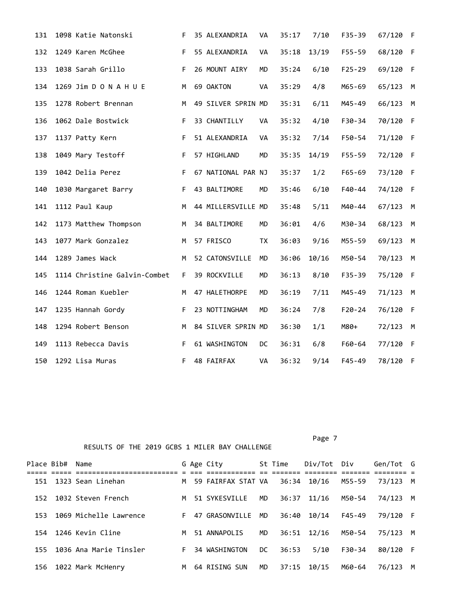| 131 | 1098 Katie Natonski          | F. | 35 ALEXANDRIA      | <b>VA</b> | 35:17 | 7/10  | $F35 - 39$ | 67/120 F |     |
|-----|------------------------------|----|--------------------|-----------|-------|-------|------------|----------|-----|
| 132 | 1249 Karen McGhee            | F  | 55 ALEXANDRIA      | VA        | 35:18 | 13/19 | $F55 - 59$ | 68/120   | -F  |
| 133 | 1038 Sarah Grillo            | F. | 26 MOUNT AIRY      | <b>MD</b> | 35:24 | 6/10  | $F25 - 29$ | 69/120   | -F  |
| 134 | 1269 Jim D O N A H U E       | M  | 69 OAKTON          | VA        | 35:29 | 4/8   | M65-69     | 65/123   | M   |
| 135 | 1278 Robert Brennan          | M  | 49 SILVER SPRIN MD |           | 35:31 | 6/11  | M45-49     | 66/123   | M   |
| 136 | 1062 Dale Bostwick           | F. | 33 CHANTILLY       | VA        | 35:32 | 4/10  | F30-34     | 70/120   | - F |
| 137 | 1137 Patty Kern              | F. | 51 ALEXANDRIA      | VA        | 35:32 | 7/14  | F50-54     | 71/120   | - F |
| 138 | 1049 Mary Testoff            | F. | 57 HIGHLAND        | MD        | 35:35 | 14/19 | F55-59     | 72/120   | - F |
| 139 | 1042 Delia Perez             | F. | 67 NATIONAL PAR NJ |           | 35:37 | 1/2   | $F65 - 69$ | 73/120   | - F |
| 140 | 1030 Margaret Barry          | F. | 43 BALTIMORE       | <b>MD</b> | 35:46 | 6/10  | $F40 - 44$ | 74/120   | - F |
| 141 | 1112 Paul Kaup               | M  | 44 MILLERSVILLE MD |           | 35:48 | 5/11  | M40-44     | 67/123   | M   |
| 142 | 1173 Matthew Thompson        | М  | 34 BALTIMORE       | <b>MD</b> | 36:01 | 4/6   | M30-34     | 68/123   | M   |
| 143 | 1077 Mark Gonzalez           | M  | 57 FRISCO          | <b>TX</b> | 36:03 | 9/16  | M55-59     | 69/123   | M   |
| 144 | 1289 James Wack              | м  | 52 CATONSVILLE     | <b>MD</b> | 36:06 | 10/16 | M50-54     | 70/123   | M   |
| 145 | 1114 Christine Galvin-Combet | F. | 39 ROCKVILLE       | <b>MD</b> | 36:13 | 8/10  | $F35 - 39$ | 75/120   | -F  |
| 146 | 1244 Roman Kuebler           | м  | 47 HALETHORPE      | <b>MD</b> | 36:19 | 7/11  | M45-49     | 71/123   | M   |
| 147 | 1235 Hannah Gordy            | F  | 23 NOTTINGHAM      | <b>MD</b> | 36:24 | 7/8   | $F20 - 24$ | 76/120   | -F  |
| 148 | 1294 Robert Benson           | M  | 84 SILVER SPRIN MD |           | 36:30 | 1/1   | $M80+$     | 72/123   | M   |
| 149 | 1113 Rebecca Davis           | F. | 61 WASHINGTON      | DC        | 36:31 | 6/8   | F60-64     | 77/120   | - F |
| 150 | 1292 Lisa Muras              | F. | 48 FAIRFAX         | VA        | 36:32 | 9/14  | $F45 - 49$ | 78/120 F |     |

Page 7

|     | Place Bib# Name |                                    |    | G Age City         |     | St Time | Div/Tot Div |        | Gen/Tot G |   |
|-----|-----------------|------------------------------------|----|--------------------|-----|---------|-------------|--------|-----------|---|
| 151 |                 | =============<br>1323 Sean Linehan | M  | 59 FAIRFAX STAT VA |     | 36:34   | 10/16       | M55-59 | 73/123    | M |
| 152 |                 | 1032 Steven French                 | M  | 51 SYKESVILLE      | MD  | 36:37   | 11/16       | M50-54 | 74/123 M  |   |
| 153 |                 | 1069 Michelle Lawrence             | F. | 47 GRASONVILLE     | MD. | 36:40   | 10/14       | F45-49 | 79/120 F  |   |
| 154 |                 | 1246 Kevin Cline                   | M  | 51 ANNAPOLIS       | MD  | 36:51   | 12/16       | M50-54 | 75/123 M  |   |
| 155 |                 | 1036 Ana Marie Tinsler             | F. | 34 WASHINGTON      | DC. | 36:53   | $5/10$      | F30-34 | 80/120 F  |   |
|     |                 | 156 1022 Mark McHenry              | M  | 64 RISING SUN      | MD. | 37:15   | 10/15       | M60-64 | 76/123    | M |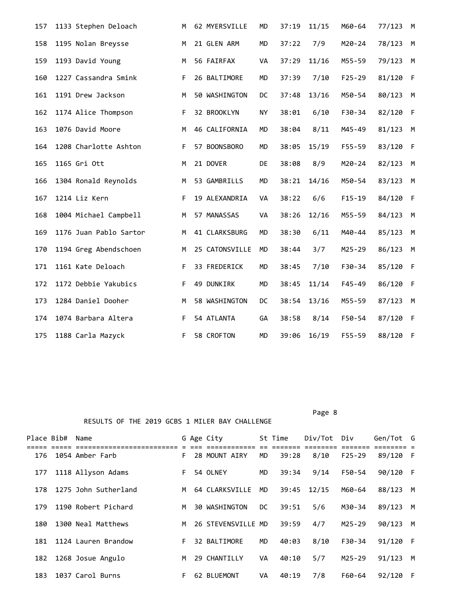| 157 | 1133 Stephen Deloach   | M  | 62 MYERSVILLE  | <b>MD</b> | 37:19 | 11/15 | M60-64     | 77/123 | M  |
|-----|------------------------|----|----------------|-----------|-------|-------|------------|--------|----|
| 158 | 1195 Nolan Breysse     | M  | 21 GLEN ARM    | <b>MD</b> | 37:22 | 7/9   | $M20 - 24$ | 78/123 | M  |
| 159 | 1193 David Young       | M  | 56 FAIRFAX     | VA        | 37:29 | 11/16 | M55-59     | 79/123 | M  |
| 160 | 1227 Cassandra Smink   | F. | 26 BALTIMORE   | <b>MD</b> | 37:39 | 7/10  | $F25 - 29$ | 81/120 | -F |
| 161 | 1191 Drew Jackson      | M  | 50 WASHINGTON  | DC        | 37:48 | 13/16 | M50-54     | 80/123 | М  |
| 162 | 1174 Alice Thompson    | F  | 32 BROOKLYN    | NY        | 38:01 | 6/10  | F30-34     | 82/120 | -F |
| 163 | 1076 David Moore       | M  | 46 CALIFORNIA  | <b>MD</b> | 38:04 | 8/11  | M45-49     | 81/123 | M  |
| 164 | 1208 Charlotte Ashton  | F. | 57 BOONSBORO   | <b>MD</b> | 38:05 | 15/19 | F55-59     | 83/120 | F  |
| 165 | 1165 Gri Ott           | M  | 21 DOVER       | DE        | 38:08 | 8/9   | M20-24     | 82/123 | М  |
| 166 | 1304 Ronald Reynolds   | M  | 53 GAMBRILLS   | <b>MD</b> | 38:21 | 14/16 | M50-54     | 83/123 | М  |
| 167 | 1214 Liz Kern          | F  | 19 ALEXANDRIA  | VA        | 38:22 | 6/6   | $F15 - 19$ | 84/120 | F  |
| 168 | 1004 Michael Campbell  | M  | 57 MANASSAS    | VA        | 38:26 | 12/16 | M55-59     | 84/123 | М  |
| 169 | 1176 Juan Pablo Sartor | M  | 41 CLARKSBURG  | MD        | 38:30 | 6/11  | M40-44     | 85/123 | М  |
| 170 | 1194 Greg Abendschoen  | M  | 25 CATONSVILLE | <b>MD</b> | 38:44 | 3/7   | M25-29     | 86/123 | М  |
| 171 | 1161 Kate Deloach      | F  | 33 FREDERICK   | MD        | 38:45 | 7/10  | F30-34     | 85/120 | -F |
| 172 | 1172 Debbie Yakubics   | F. | 49 DUNKIRK     | <b>MD</b> | 38:45 | 11/14 | F45-49     | 86/120 | -F |
| 173 | 1284 Daniel Dooher     | M  | 58 WASHINGTON  | DC        | 38:54 | 13/16 | M55-59     | 87/123 | M  |
| 174 | 1074 Barbara Altera    | F  | 54 ATLANTA     | GA        | 38:58 | 8/14  | F50-54     | 87/120 | -F |
| 175 | 1188 Carla Mazyck      | F. | 58 CROFTON     | <b>MD</b> | 39:06 | 16/19 | $F55 - 59$ | 88/120 | -F |

Page 8 and 2012 and 2012 and 2012 and 2012 and 2012 and 2012 and 2012 and 2012 and 2012 and 2012 and 2012 and

| Place Bib# | Name                 |    | G Age City         |     | St Time | Div/Tot | Div        | Gen/Tot G |     |
|------------|----------------------|----|--------------------|-----|---------|---------|------------|-----------|-----|
| 176        | 1054 Amber Farb      | F. | 28 MOUNT AIRY      | MD  | 39:28   | 8/10    | $F25 - 29$ | 89/120 F  |     |
| 177        | 1118 Allyson Adams   | F. | 54 OLNEY           | MD  | 39:34   | 9/14    | F50-54     | 90/120 F  |     |
| 178        | 1275 John Sutherland | м  | 64 CLARKSVILLE     | MD  | 39:45   | 12/15   | M60-64     | 88/123    | M   |
| 179        | 1190 Robert Pichard  | M  | 30 WASHINGTON      | DC. | 39:51   | 5/6     | M30-34     | 89/123    | M   |
| 180        | 1300 Neal Matthews   | M  | 26 STEVENSVILLE MD |     | 39:59   | 4/7     | $M25 - 29$ | 90/123    | M   |
| 181        | 1124 Lauren Brandow  | F. | 32 BALTIMORE       | MD  | 40:03   | 8/10    | $F30-34$   | 91/120    | - F |
| 182        | 1268 Josue Angulo    | M  | 29 CHANTILLY       | VA  | 40:10   | 5/7     | $M25 - 29$ | 91/123    | M   |
| 183        | 1037 Carol Burns     | F. | 62 BLUEMONT        | VA  | 40:19   | 7/8     | F60-64     | 92/120    | -F  |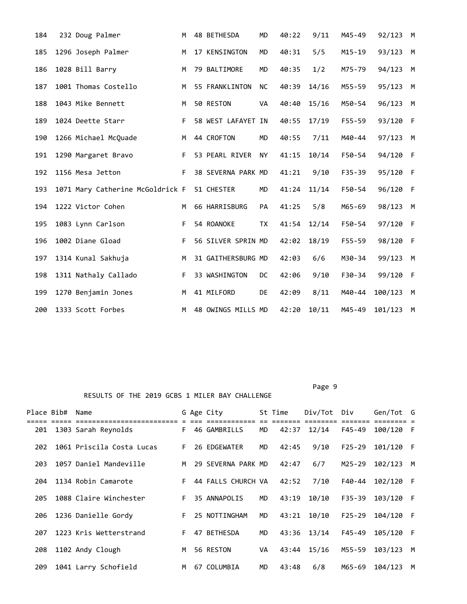| 184 | 232 Doug Palmer                  | M  | 48 BETHESDA        | <b>MD</b> | 40:22 | 9/11  | M45-49     | 92/123  | M           |
|-----|----------------------------------|----|--------------------|-----------|-------|-------|------------|---------|-------------|
| 185 | 1296 Joseph Palmer               | M  | 17 KENSINGTON      | <b>MD</b> | 40:31 | 5/5   | $M15 - 19$ | 93/123  | M           |
| 186 | 1028 Bill Barry                  | M  | 79 BALTIMORE       | <b>MD</b> | 40:35 | 1/2   | M75-79     | 94/123  | M           |
| 187 | 1001 Thomas Costello             | M  | 55 FRANKLINTON     | ΝC        | 40:39 | 14/16 | M55-59     | 95/123  | M           |
| 188 | 1043 Mike Bennett                | M  | 50 RESTON          | VA        | 40:40 | 15/16 | M50-54     | 96/123  | M           |
| 189 | 1024 Deette Starr                | F. | 58 WEST LAFAYET IN |           | 40:55 | 17/19 | $F55 - 59$ | 93/120  | $\mathsf F$ |
| 190 | 1266 Michael McQuade             | M  | 44 CROFTON         | MD        | 40:55 | 7/11  | M40-44     | 97/123  | M           |
| 191 | 1290 Margaret Bravo              | F. | 53 PEARL RIVER     | <b>NY</b> | 41:15 | 10/14 | F50-54     | 94/120  | - F         |
| 192 | 1156 Mesa Jetton                 | F. | 38 SEVERNA PARK MD |           | 41:21 | 9/10  | $F35 - 39$ | 95/120  | - F         |
| 193 | 1071 Mary Catherine McGoldrick F |    | 51 CHESTER         | MD        | 41:24 | 11/14 | F50-54     | 96/120  | - F         |
| 194 | 1222 Victor Cohen                | M  | 66 HARRISBURG      | PA        | 41:25 | 5/8   | M65-69     | 98/123  | M           |
| 195 | 1083 Lynn Carlson                | F. | 54 ROANOKE         | <b>TX</b> | 41:54 | 12/14 | F50-54     | 97/120  | - F         |
| 196 | 1002 Diane Gload                 | F. | 56 SILVER SPRIN MD |           | 42:02 | 18/19 | $F55 - 59$ | 98/120  | -F          |
| 197 | 1314 Kunal Sakhuja               | M  | 31 GAITHERSBURG MD |           | 42:03 | 6/6   | M30-34     | 99/123  | M           |
| 198 | 1311 Nathaly Callado             | F. | 33 WASHINGTON      | DC        | 42:06 | 9/10  | $F30-34$   | 99/120  | F           |
| 199 | 1270 Benjamin Jones              | M  | 41 MILFORD         | <b>DE</b> | 42:09 | 8/11  | M40-44     | 100/123 | M           |
| 200 | 1333 Scott Forbes                | M  | 48 OWINGS MILLS MD |           | 42:20 | 10/11 | M45-49     | 101/123 | M           |

Page 9 - Page 9 - Page 9 - Page 9 - Page 9 - Page 9 - Page 9 - Page 9 - Page 9 - Page 9

RESULTS OF THE 2019 GCBS 1 MILER BAY CHALLENGE

|     | Place Bib# Name |                                                    |    | G Age City                           |    | St Time                          | Div/Tot Div              |                                   | Gen/Tot G |     |
|-----|-----------------|----------------------------------------------------|----|--------------------------------------|----|----------------------------------|--------------------------|-----------------------------------|-----------|-----|
| 201 | ==              | ===========================<br>1303 Sarah Reynolds |    | a ada adadeedadada<br>F 46 GAMBRILLS | MD | $=$ $=$ $=$ $=$ $=$ $=$<br>42:37 | <b>Eccesses</b><br>12/14 | $=$ $=$ $=$ $=$ $=$ $=$<br>F45-49 | 100/120 F |     |
| 202 |                 | 1061 Priscila Costa Lucas                          | F. | 26 EDGEWATER                         | MD | 42:45                            | 9/10                     | $F25 - 29$                        | 101/120 F |     |
| 203 |                 | 1057 Daniel Mandeville                             | M  | 29 SEVERNA PARK MD                   |    | 42:47                            | 6/7                      | M25-29                            | 102/123   | M   |
| 204 |                 | 1134 Robin Camarote                                | F  | 44 FALLS CHURCH VA                   |    | 42:52                            | 7/10                     | F40-44                            | 102/120 F |     |
| 205 |                 | 1088 Claire Winchester                             | F. | 35 ANNAPOLIS                         | MD | 43:19                            | 10/10                    | $F35 - 39$                        | 103/120 F |     |
| 206 |                 | 1236 Danielle Gordy                                | F. | 25 NOTTINGHAM                        | MD | 43:21                            | 10/10                    | $F25 - 29$                        | 104/120   | - F |
| 207 |                 | 1223 Kris Wetterstrand                             | F. | 47 BETHESDA                          | MD | 43:36                            | 13/14                    | F45-49                            | 105/120 F |     |
| 208 |                 | 1102 Andy Clough                                   | M  | 56 RESTON                            | VA | 43:44                            | 15/16                    | M55-59                            | 103/123   | M   |
| 209 |                 | 1041 Larry Schofield                               | M  | 67 COLUMBIA                          | MD | 43:48                            | 6/8                      | M65-69                            | 104/123   | M   |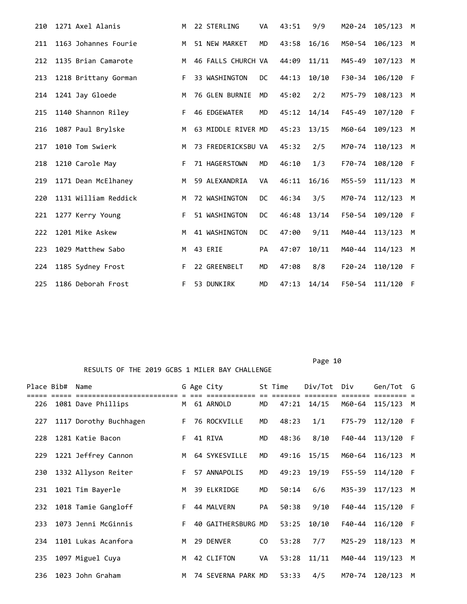| 210 | 1271 Axel Alanis     | M  | 22 STERLING           | <b>VA</b> | 43:51 | 9/9   | M20-24     | 105/123 | M   |
|-----|----------------------|----|-----------------------|-----------|-------|-------|------------|---------|-----|
| 211 | 1163 Johannes Fourie | м  | 51 NEW MARKET         | MD        | 43:58 | 16/16 | M50-54     | 106/123 | M   |
| 212 | 1135 Brian Camarote  | м  | 46 FALLS CHURCH VA    |           | 44:09 | 11/11 | M45-49     | 107/123 | M   |
| 213 | 1218 Brittany Gorman | F  | 33 WASHINGTON         | DC.       | 44:13 | 10/10 | F30-34     | 106/120 | - F |
| 214 | 1241 Jay Gloede      | M  | <b>76 GLEN BURNIE</b> | <b>MD</b> | 45:02 | 2/2   | M75-79     | 108/123 | M   |
| 215 | 1140 Shannon Riley   | F. | 46 EDGEWATER          | <b>MD</b> | 45:12 | 14/14 | $F45 - 49$ | 107/120 | -F  |
| 216 | 1087 Paul Brylske    | M  | 63 MIDDLE RIVER MD    |           | 45:23 | 13/15 | M60-64     | 109/123 | M   |
| 217 | 1010 Tom Swierk      | M  | 73 FREDERICKSBU VA    |           | 45:32 | 2/5   | M70-74     | 110/123 | M   |
| 218 | 1210 Carole May      | F. | 71 HAGERSTOWN         | MD        | 46:10 | 1/3   | F70-74     | 108/120 | -F  |
| 219 | 1171 Dean McElhaney  | M  | 59 ALEXANDRIA         | <b>VA</b> | 46:11 | 16/16 | M55-59     | 111/123 | M   |
| 220 | 1131 William Reddick | M  | 72 WASHINGTON         | DC        | 46:34 | 3/5   | M70-74     | 112/123 | M   |
| 221 | 1277 Kerry Young     | F  | 51 WASHINGTON         | DC        | 46:48 | 13/14 | F50-54     | 109/120 | -F  |
| 222 | 1201 Mike Askew      | M  | 41 WASHINGTON         | DC        | 47:00 | 9/11  | M40-44     | 113/123 | M   |
| 223 | 1029 Matthew Sabo    | M  | 43 ERIE               | <b>PA</b> | 47:07 | 10/11 | M40-44     | 114/123 | M   |
| 224 | 1185 Sydney Frost    | F. | 22 GREENBELT          | <b>MD</b> | 47:08 | 8/8   | $F20-24$   | 110/120 | - F |
| 225 | 1186 Deborah Frost   | F. | 53 DUNKIRK            | <b>MD</b> | 47:13 | 14/14 | F50-54     | 111/120 | -F  |

Page 10

| Place Bib# | Name                   |    | G Age City         |           | St Time | Div/Tot | Div             | Gen/Tot   | G   |
|------------|------------------------|----|--------------------|-----------|---------|---------|-----------------|-----------|-----|
| 226        | 1081 Dave Phillips     |    | M 61 ARNOLD        | <b>MD</b> | 47:21   | 14/15   | =====<br>M60-64 | 115/123   | M   |
| 227        | 1117 Dorothy Buchhagen | F. | 76 ROCKVILLE       | <b>MD</b> | 48:23   | 1/1     | F75-79          | 112/120 F |     |
| 228        | 1281 Katie Bacon       | F. | 41 RIVA            | <b>MD</b> | 48:36   | 8/10    | F40-44          | 113/120 F |     |
| 229        | 1221 Jeffrey Cannon    | M  | 64 SYKESVILLE      | <b>MD</b> | 49:16   | 15/15   | M60-64          | 116/123   | M   |
| 230        | 1332 Allyson Reiter    | F. | 57 ANNAPOLIS       | MD        | 49:23   | 19/19   | F55-59          | 114/120 F |     |
| 231        | 1021 Tim Bayerle       | M  | 39 ELKRIDGE        | <b>MD</b> | 50:14   | 6/6     | M35-39          | 117/123   | M   |
| 232        | 1018 Tamie Gangloff    | F. | 44 MALVERN         | <b>PA</b> | 50:38   | 9/10    | F40-44          | 115/120 F |     |
| 233        | 1073 Jenni McGinnis    | F. | 40 GAITHERSBURG MD |           | 53:25   | 10/10   | F40-44          | 116/120   | - F |
| 234        | 1101 Lukas Acanfora    | M  | 29 DENVER          | CO.       | 53:28   | 7/7     | M25-29          | 118/123   | M   |
| 235        | 1097 Miguel Cuya       | M  | 42 CLIFTON         | VA        | 53:28   | 11/11   | M40-44          | 119/123   | M   |
| 236        | 1023 John Graham       | M  | 74 SEVERNA PARK MD |           | 53:33   | 4/5     | M70-74          | 120/123   | M   |